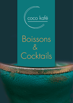

# Boissons  $\&$ Cocktails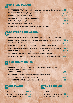### **US FRAIS MAISON**

| JUS PRESSÉ UN FRUIT AU CHOIX : Orange, Pamplemousse, Citron  5,00 € |  |
|---------------------------------------------------------------------|--|
|                                                                     |  |
|                                                                     |  |
|                                                                     |  |
|                                                                     |  |
|                                                                     |  |
|                                                                     |  |

### COCKTAILS SANS ALCOOL

| CHATANCO : Jus d'orange, Jus de pamplemousse, Citron vert, Sirop de fraise 7,00 €          |  |
|--------------------------------------------------------------------------------------------|--|
|                                                                                            |  |
|                                                                                            |  |
| TROPICAL : Jus d'ananas, Jus de passion, Jus d'orange, Glace cerise  7,00 €                |  |
| ROSE DU DESERT: Jus d'ananas, Jus de letchi, Fraises, Sirop de rose, Glace letchi . 7,00 € |  |
|                                                                                            |  |
|                                                                                            |  |
| VIRGIN MOJITO FRAISE : Sucre de Canne, Citron vert, Menthe, Fraises, Limonade  8,00 $\in$  |  |

## **BOISSONS FRAICHES**

| SODAS 33CL : Coca Cola, Orangina, Fuze T, Ordinaire, Schweppes tonic,  4,00 €<br>Schweppes agrume, Perrier, Sprite |       |  |
|--------------------------------------------------------------------------------------------------------------------|-------|--|
|                                                                                                                    | 5,00€ |  |
|                                                                                                                    |       |  |
|                                                                                                                    |       |  |
|                                                                                                                    |       |  |

| AQUA PANNA 1/  5,00 €       |  |
|-----------------------------|--|
| AQUA PANNA 50 cl $3,00 \in$ |  |

## EAUX PLATES EAUX GAZEUSE

| S. PELLEGRINO 1/  5,00 €    |  |
|-----------------------------|--|
| S. PELLEGRINO 50 cl  3,50 € |  |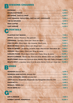## **BOISSONS CHAUDES**

| CAFÉ VIENNOIS, CAPUCCINO, CAFÉ AU LAIT, CHOCOLATÉ  5,00 €    |  |
|--------------------------------------------------------------|--|
| THÉ OU INFUSION <b>DESCRIPTION OF THE OUTSIDE OF A</b> ,00 € |  |
|                                                              |  |
| CAFÉ ARROSÉ                                                  |  |
|                                                              |  |

## COCKTAILS

| ROSE DU DESERT : Jus ananas, Jus letchi, Fraise, Sirop de rose, Glace letchi, Gin                       | 9,00 $\epsilon$ |
|---------------------------------------------------------------------------------------------------------|-----------------|
|                                                                                                         |                 |
| DAIQUIRI FRAISE : Rhum blanc, Citron vert, Fraise, Sirop de canne  10,00 €                              |                 |
| MOJITO CLASSIQUE : Havana club, Sucre de canne, Menthe, Citron vert, Limonade 10,50 €                   |                 |
| MOJITO FRAISE: Havana club, Sucre de canne, Menthe, Citron vert, Fraise, Limonade 11,00 €               |                 |
| <b>MOJITO SPICY :</b> Longueteau Spicy, Sucre de canne, Menthe, Citron vert, Ginger beer <b>12,00</b> € |                 |

## BIÈRES

| LEFFE (blonde), Desperado, Desperado red, Hoegarden (blanche) 33cl  6,00 € |  |
|----------------------------------------------------------------------------|--|
|                                                                            |  |
|                                                                            |  |
|                                                                            |  |